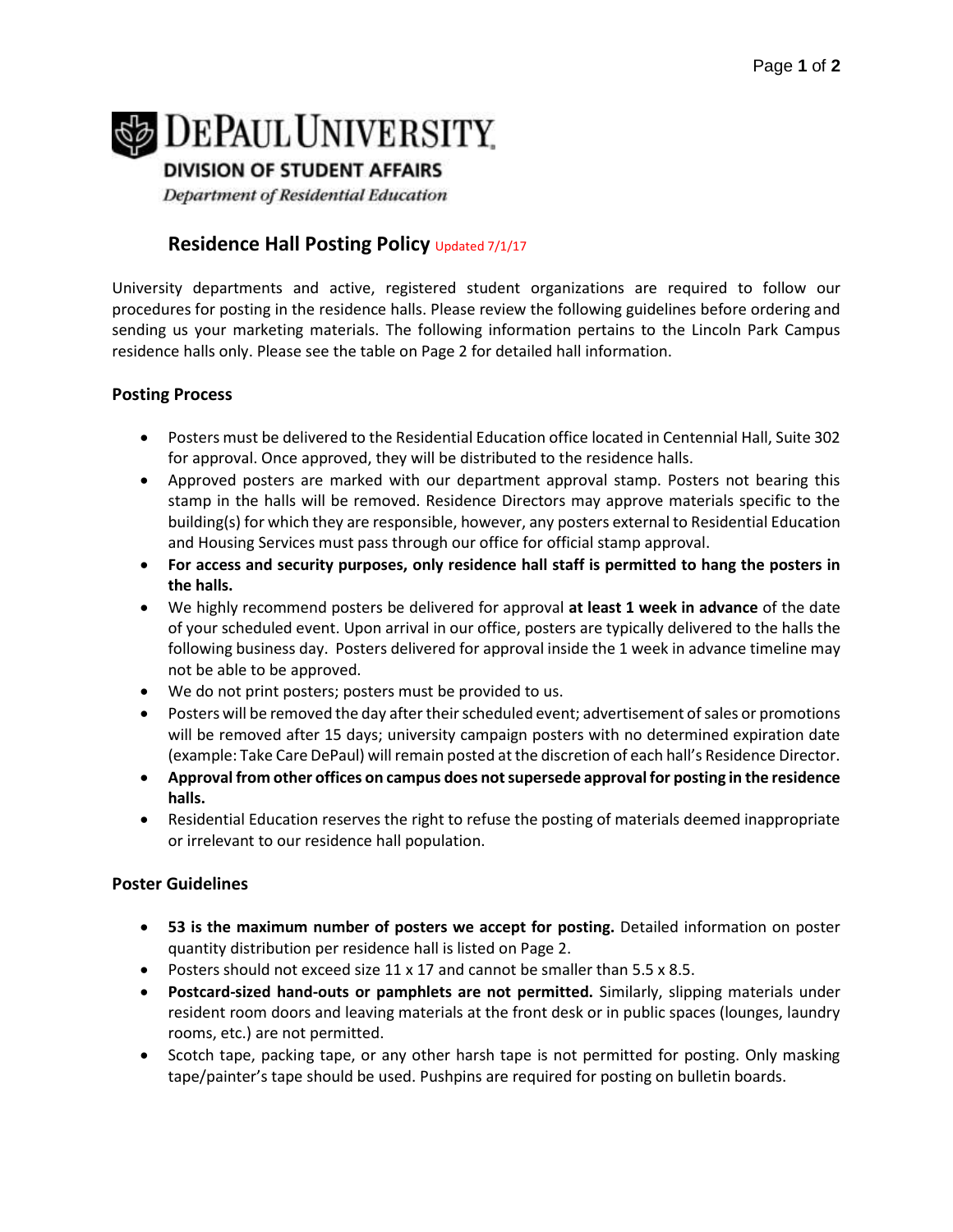# **DEPAUL UNIVERSITY**

**DIVISION OF STUDENT AFFAIRS** 

Department of Residential Education

# **Residence Hall Posting Policy Updated 7/1/17**

University departments and active, registered student organizations are required to follow our procedures for posting in the residence halls. Please review the following guidelines before ordering and sending us your marketing materials. The following information pertains to the Lincoln Park Campus residence halls only. Please see the table on Page 2 for detailed hall information.

## **Posting Process**

- Posters must be delivered to the Residential Education office located in Centennial Hall, Suite 302 for approval. Once approved, they will be distributed to the residence halls.
- Approved posters are marked with our department approval stamp. Posters not bearing this stamp in the halls will be removed. Residence Directors may approve materials specific to the building(s) for which they are responsible, however, any posters external to Residential Education and Housing Services must pass through our office for official stamp approval.
- **For access and security purposes, only residence hall staff is permitted to hang the posters in the halls.**
- We highly recommend posters be delivered for approval **at least 1 week in advance** of the date of your scheduled event. Upon arrival in our office, posters are typically delivered to the halls the following business day. Posters delivered for approval inside the 1 week in advance timeline may not be able to be approved.
- We do not print posters; posters must be provided to us.
- Posters will be removed the day after their scheduled event; advertisement of sales or promotions will be removed after 15 days; university campaign posters with no determined expiration date (example: Take Care DePaul) will remain posted at the discretion of each hall's Residence Director.
- **Approval from other offices on campus does not supersede approval for posting in the residence halls.**
- Residential Education reserves the right to refuse the posting of materials deemed inappropriate or irrelevant to our residence hall population.

### **Poster Guidelines**

- **53 is the maximum number of posters we accept for posting.** Detailed information on poster quantity distribution per residence hall is listed on Page 2.
- Posters should not exceed size  $11 \times 17$  and cannot be smaller than  $5.5 \times 8.5$ .
- **Postcard-sized hand-outs or pamphlets are not permitted.** Similarly, slipping materials under resident room doors and leaving materials at the front desk or in public spaces (lounges, laundry rooms, etc.) are not permitted.
- Scotch tape, packing tape, or any other harsh tape is not permitted for posting. Only masking tape/painter's tape should be used. Pushpins are required for posting on bulletin boards.